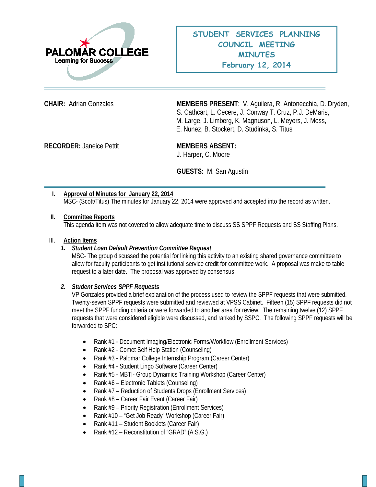

**CHAIR:** Adrian Gonzales **MEMBERS PRESENT**: V. Aguilera, R. Antonecchia, D. Dryden, S. Cathcart, L. Cecere, J. Conway,T. Cruz, P.J. DeMaris, M. Large, J. Limberg, K. Magnuson, L. Meyers, J. Moss, E. Nunez, B. Stockert, D. Studinka, S. Titus

**RECORDER:** Janeice Pettit **MEMBERS ABSENT:** 

J. Harper, C. Moore

**GUESTS:** M. San Agustin

## **I. Approval of Minutes for January 22, 2014** MSC- (Scott/Titus) The minutes for January 22, 2014 were approved and accepted into the record as written.

### **II. Committee Reports**

This agenda item was not covered to allow adequate time to discuss SS SPPF Requests and SS Staffing Plans.

#### III. **Action Items**

### *1. Student Loan Default Prevention Committee Request*

MSC- The group discussed the potential for linking this activity to an existing shared governance committee to allow for faculty participants to get institutional service credit for committee work. A proposal was make to table request to a later date. The proposal was approved by consensus.

### *2. Student Services SPPF Requests*

VP Gonzales provided a brief explanation of the process used to review the SPPF requests that were submitted. Twenty-seven SPPF requests were submitted and reviewed at VPSS Cabinet. Fifteen (15) SPPF requests did not meet the SPPF funding criteria or were forwarded to another area for review. The remaining twelve (12) SPPF requests that were considered eligible were discussed, and ranked by SSPC. The following SPPF requests will be forwarded to SPC:

- Rank #1 Document Imaging/Electronic Forms/Workflow (Enrollment Services)
- Rank #2 Comet Self Help Station (Counseling)
- Rank #3 Palomar College Internship Program (Career Center)
- Rank #4 Student Lingo Software (Career Center)
- Rank #5 MBTI- Group Dynamics Training Workshop (Career Center)
- Rank #6 Electronic Tablets (Counseling)
- Rank #7 Reduction of Students Drops (Enrollment Services)
- Rank #8 Career Fair Event (Career Fair)
- Rank #9 Priority Registration (Enrollment Services)
- Rank #10 "Get Job Ready" Workshop (Career Fair)
- Rank #11 Student Booklets (Career Fair)
- Rank #12 Reconstitution of "GRAD" (A.S.G.)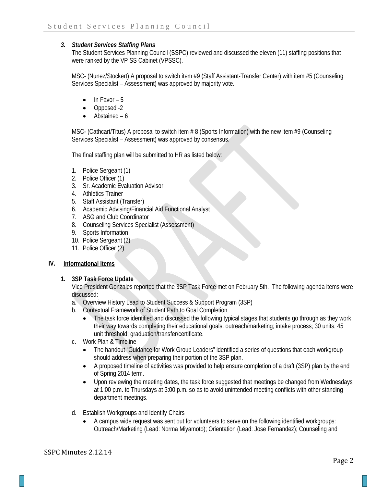## *3. Student Services Staffing Plans*

The Student Services Planning Council (SSPC) reviewed and discussed the eleven (11) staffing positions that were ranked by the VP SS Cabinet (VPSSC).

MSC- (Nunez/Stockert) A proposal to switch item #9 (Staff Assistant-Transfer Center) with item #5 (Counseling Services Specialist – Assessment) was approved by majority vote.

- In Favor  $-5$
- Opposed -2
- Abstained 6

MSC- (Cathcart/Titus) A proposal to switch item # 8 (Sports Information) with the new item #9 (Counseling Services Specialist – Assessment) was approved by consensus.

The final staffing plan will be submitted to HR as listed below:

- 1. Police Sergeant (1)
- 2. Police Officer (1)
- 3. Sr. Academic Evaluation Advisor
- 4. Athletics Trainer
- 5. Staff Assistant (Transfer)
- 6. Academic Advising/Financial Aid Functional Analyst
- 7. ASG and Club Coordinator
- 8. Counseling Services Specialist (Assessment)
- 9. Sports Information
- 10. Police Sergeant (2)
- 11. Police Officer (2)

## **IV. Informational Items**

### **1. 3SP Task Force Update**

Vice President Gonzales reported that the 3SP Task Force met on February 5th. The following agenda items were discussed:

- a. Overview History Lead to Student Success & Support Program (3SP)
- b. Contextual Framework of Student Path to Goal Completion
	- The task force identified and discussed the following typical stages that students go through as they work their way towards completing their educational goals: outreach/marketing; intake process; 30 units; 45 unit threshold; graduation/transfer/certificate.
- c. Work Plan & Timeline
	- The handout "Guidance for Work Group Leaders" identified a series of questions that each workgroup should address when preparing their portion of the 3SP plan.
	- A proposed timeline of activities was provided to help ensure completion of a draft (3SP) plan by the end of Spring 2014 term.
	- Upon reviewing the meeting dates, the task force suggested that meetings be changed from Wednesdays at 1:00 p.m. to Thursdays at 3:00 p.m. so as to avoid unintended meeting conflicts with other standing department meetings.
- d. Establish Workgroups and Identify Chairs
	- A campus wide request was sent out for volunteers to serve on the following identified workgroups: Outreach/Marketing (Lead: Norma Miyamoto); Orientation (Lead: Jose Fernandez); Counseling and